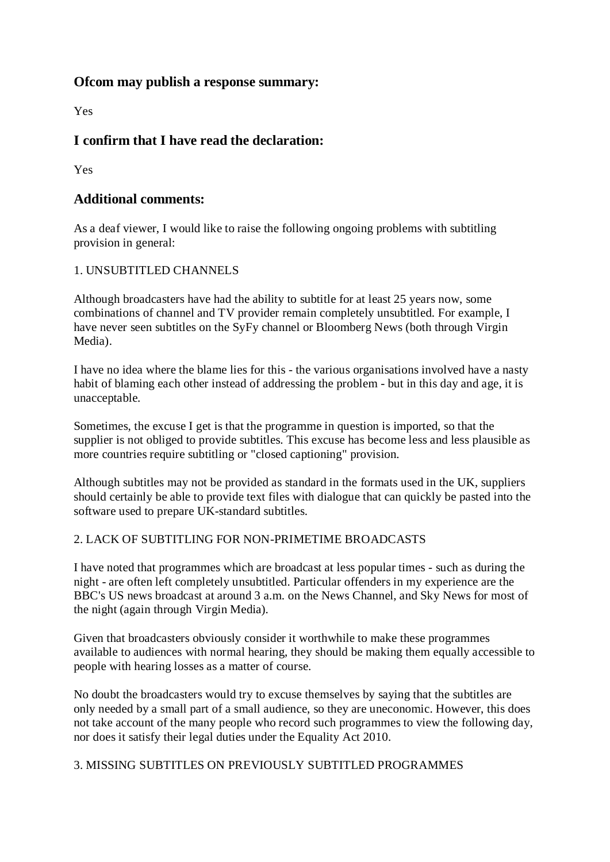## **Ofcom may publish a response summary:**

Yes

# **I confirm that I have read the declaration:**

Yes

# **Additional comments:**

As a deaf viewer, I would like to raise the following ongoing problems with subtitling provision in general:

## 1. UNSUBTITLED CHANNELS

Although broadcasters have had the ability to subtitle for at least 25 years now, some combinations of channel and TV provider remain completely unsubtitled. For example, I have never seen subtitles on the SyFy channel or Bloomberg News (both through Virgin Media).

I have no idea where the blame lies for this - the various organisations involved have a nasty habit of blaming each other instead of addressing the problem - but in this day and age, it is unacceptable.

Sometimes, the excuse I get is that the programme in question is imported, so that the supplier is not obliged to provide subtitles. This excuse has become less and less plausible as more countries require subtitling or "closed captioning" provision.

Although subtitles may not be provided as standard in the formats used in the UK, suppliers should certainly be able to provide text files with dialogue that can quickly be pasted into the software used to prepare UK-standard subtitles.

## 2. LACK OF SUBTITLING FOR NON-PRIMETIME BROADCASTS

I have noted that programmes which are broadcast at less popular times - such as during the night - are often left completely unsubtitled. Particular offenders in my experience are the BBC's US news broadcast at around 3 a.m. on the News Channel, and Sky News for most of the night (again through Virgin Media).

Given that broadcasters obviously consider it worthwhile to make these programmes available to audiences with normal hearing, they should be making them equally accessible to people with hearing losses as a matter of course.

No doubt the broadcasters would try to excuse themselves by saying that the subtitles are only needed by a small part of a small audience, so they are uneconomic. However, this does not take account of the many people who record such programmes to view the following day, nor does it satisfy their legal duties under the Equality Act 2010.

## 3. MISSING SUBTITLES ON PREVIOUSLY SUBTITLED PROGRAMMES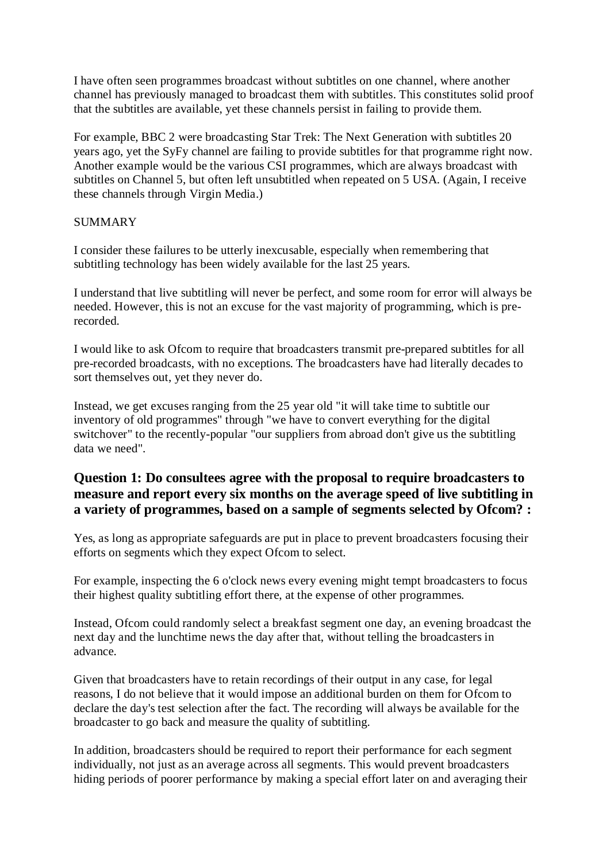I have often seen programmes broadcast without subtitles on one channel, where another channel has previously managed to broadcast them with subtitles. This constitutes solid proof that the subtitles are available, yet these channels persist in failing to provide them.

For example, BBC 2 were broadcasting Star Trek: The Next Generation with subtitles 20 years ago, yet the SyFy channel are failing to provide subtitles for that programme right now. Another example would be the various CSI programmes, which are always broadcast with subtitles on Channel 5, but often left unsubtitled when repeated on 5 USA. (Again, I receive these channels through Virgin Media.)

#### **SUMMARY**

I consider these failures to be utterly inexcusable, especially when remembering that subtitling technology has been widely available for the last 25 years.

I understand that live subtitling will never be perfect, and some room for error will always be needed. However, this is not an excuse for the vast majority of programming, which is prerecorded.

I would like to ask Ofcom to require that broadcasters transmit pre-prepared subtitles for all pre-recorded broadcasts, with no exceptions. The broadcasters have had literally decades to sort themselves out, yet they never do.

Instead, we get excuses ranging from the 25 year old "it will take time to subtitle our inventory of old programmes" through "we have to convert everything for the digital switchover" to the recently-popular "our suppliers from abroad don't give us the subtitling data we need".

## **Question 1: Do consultees agree with the proposal to require broadcasters to measure and report every six months on the average speed of live subtitling in a variety of programmes, based on a sample of segments selected by Ofcom? :**

Yes, as long as appropriate safeguards are put in place to prevent broadcasters focusing their efforts on segments which they expect Ofcom to select.

For example, inspecting the 6 o'clock news every evening might tempt broadcasters to focus their highest quality subtitling effort there, at the expense of other programmes.

Instead, Ofcom could randomly select a breakfast segment one day, an evening broadcast the next day and the lunchtime news the day after that, without telling the broadcasters in advance.

Given that broadcasters have to retain recordings of their output in any case, for legal reasons, I do not believe that it would impose an additional burden on them for Ofcom to declare the day's test selection after the fact. The recording will always be available for the broadcaster to go back and measure the quality of subtitling.

In addition, broadcasters should be required to report their performance for each segment individually, not just as an average across all segments. This would prevent broadcasters hiding periods of poorer performance by making a special effort later on and averaging their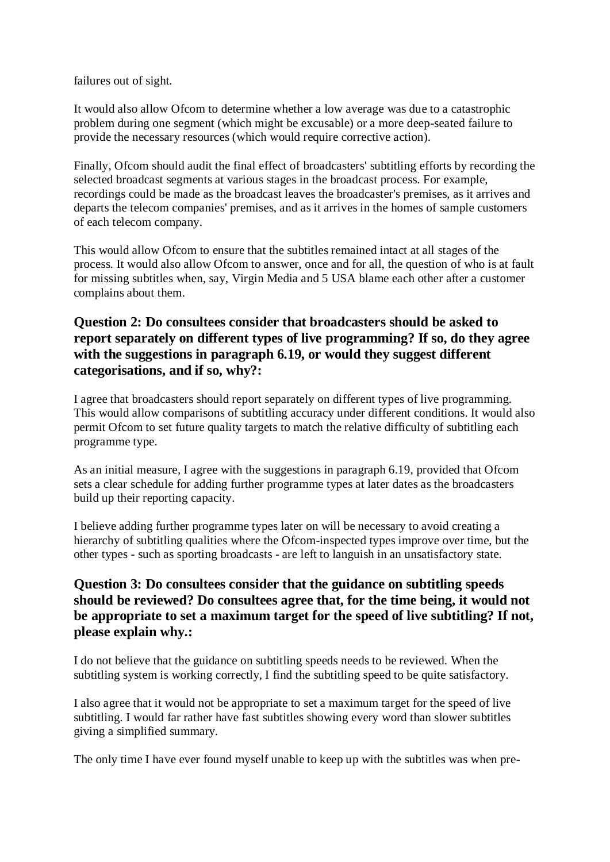failures out of sight.

It would also allow Ofcom to determine whether a low average was due to a catastrophic problem during one segment (which might be excusable) or a more deep-seated failure to provide the necessary resources (which would require corrective action).

Finally, Ofcom should audit the final effect of broadcasters' subtitling efforts by recording the selected broadcast segments at various stages in the broadcast process. For example, recordings could be made as the broadcast leaves the broadcaster's premises, as it arrives and departs the telecom companies' premises, and as it arrives in the homes of sample customers of each telecom company.

This would allow Ofcom to ensure that the subtitles remained intact at all stages of the process. It would also allow Ofcom to answer, once and for all, the question of who is at fault for missing subtitles when, say, Virgin Media and 5 USA blame each other after a customer complains about them.

# **Question 2: Do consultees consider that broadcasters should be asked to report separately on different types of live programming? If so, do they agree with the suggestions in paragraph 6.19, or would they suggest different categorisations, and if so, why?:**

I agree that broadcasters should report separately on different types of live programming. This would allow comparisons of subtitling accuracy under different conditions. It would also permit Ofcom to set future quality targets to match the relative difficulty of subtitling each programme type.

As an initial measure, I agree with the suggestions in paragraph 6.19, provided that Ofcom sets a clear schedule for adding further programme types at later dates as the broadcasters build up their reporting capacity.

I believe adding further programme types later on will be necessary to avoid creating a hierarchy of subtitling qualities where the Ofcom-inspected types improve over time, but the other types - such as sporting broadcasts - are left to languish in an unsatisfactory state.

# **Question 3: Do consultees consider that the guidance on subtitling speeds should be reviewed? Do consultees agree that, for the time being, it would not be appropriate to set a maximum target for the speed of live subtitling? If not, please explain why.:**

I do not believe that the guidance on subtitling speeds needs to be reviewed. When the subtitling system is working correctly, I find the subtitling speed to be quite satisfactory.

I also agree that it would not be appropriate to set a maximum target for the speed of live subtitling. I would far rather have fast subtitles showing every word than slower subtitles giving a simplified summary.

The only time I have ever found myself unable to keep up with the subtitles was when pre-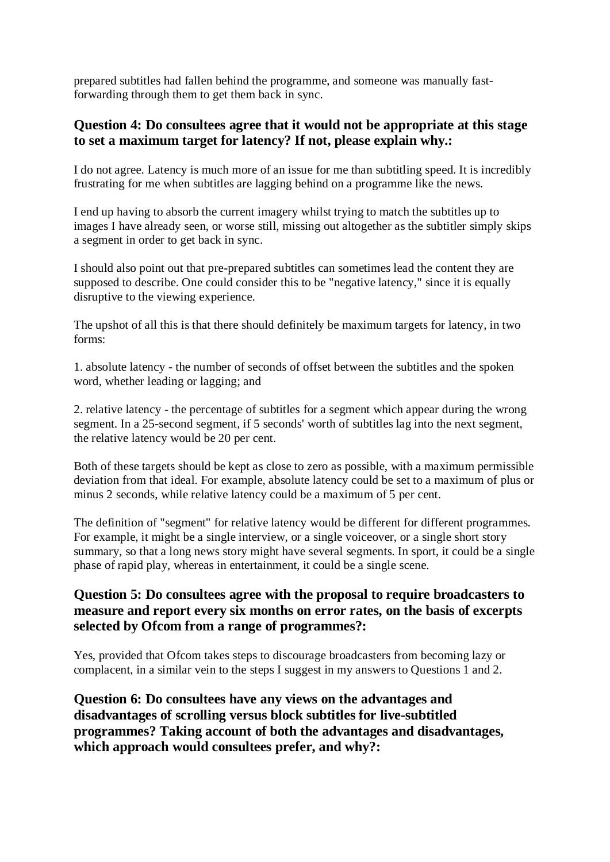prepared subtitles had fallen behind the programme, and someone was manually fastforwarding through them to get them back in sync.

#### **Question 4: Do consultees agree that it would not be appropriate at this stage to set a maximum target for latency? If not, please explain why.:**

I do not agree. Latency is much more of an issue for me than subtitling speed. It is incredibly frustrating for me when subtitles are lagging behind on a programme like the news.

I end up having to absorb the current imagery whilst trying to match the subtitles up to images I have already seen, or worse still, missing out altogether as the subtitler simply skips a segment in order to get back in sync.

I should also point out that pre-prepared subtitles can sometimes lead the content they are supposed to describe. One could consider this to be "negative latency," since it is equally disruptive to the viewing experience.

The upshot of all this is that there should definitely be maximum targets for latency, in two forms:

1. absolute latency - the number of seconds of offset between the subtitles and the spoken word, whether leading or lagging; and

2. relative latency - the percentage of subtitles for a segment which appear during the wrong segment. In a 25-second segment, if 5 seconds' worth of subtitles lag into the next segment, the relative latency would be 20 per cent.

Both of these targets should be kept as close to zero as possible, with a maximum permissible deviation from that ideal. For example, absolute latency could be set to a maximum of plus or minus 2 seconds, while relative latency could be a maximum of 5 per cent.

The definition of "segment" for relative latency would be different for different programmes. For example, it might be a single interview, or a single voiceover, or a single short story summary, so that a long news story might have several segments. In sport, it could be a single phase of rapid play, whereas in entertainment, it could be a single scene.

## **Question 5: Do consultees agree with the proposal to require broadcasters to measure and report every six months on error rates, on the basis of excerpts selected by Ofcom from a range of programmes?:**

Yes, provided that Ofcom takes steps to discourage broadcasters from becoming lazy or complacent, in a similar vein to the steps I suggest in my answers to Questions 1 and 2.

**Question 6: Do consultees have any views on the advantages and disadvantages of scrolling versus block subtitles for live-subtitled programmes? Taking account of both the advantages and disadvantages, which approach would consultees prefer, and why?:**